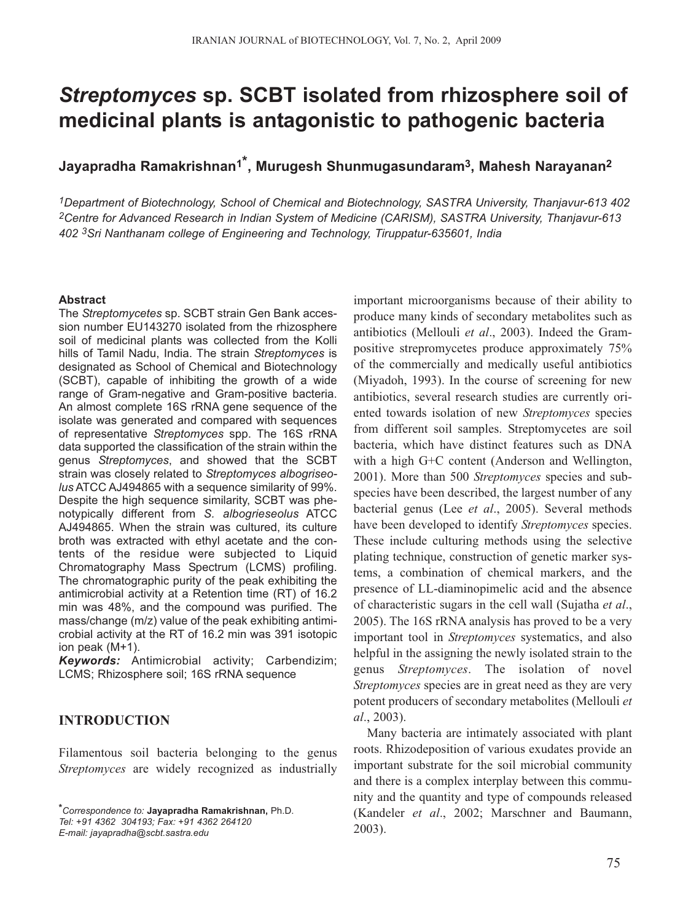# *Streptomyces* **sp. SCBT isolated from rhizosphere soil of medicinal plants is antagonistic to pathogenic bacteria**

**Jayapradha Ramakrishnan1\*, Murugesh Shunmugasundaram3, Mahesh Narayanan2**

*1Department of Biotechnology, School of Chemical and Biotechnology, SASTRA University, Thanjavur-613 402 2Centre for Advanced Research in Indian System of Medicine (CARISM), SASTRA University, Thanjavur-613 402 3Sri Nanthanam college of Engineering and Technology, Tiruppatur-635601, India*

#### **Abstract**

The *Streptomycetes* sp. SCBT strain Gen Bank accession number EU143270 isolated from the rhizosphere soil of medicinal plants was collected from the Kolli hills of Tamil Nadu, India. The strain *Streptomyces* is designated as School of Chemical and Biotechnology (SCBT), capable of inhibiting the growth of a wide range of Gram-negative and Gram-positive bacteria. An almost complete 16S rRNA gene sequence of the isolate was generated and compared with sequences of representative *Streptomyces* spp. The 16S rRNA data supported the classification of the strain within the genus *Streptomyces*, and showed that the SCBT strain was closely related to *Streptomyces albogriseolus* ATCC AJ494865 with a sequence similarity of 99%. Despite the high sequence similarity, SCBT was phenotypically different from *S. albogrieseolus* ATCC AJ494865. When the strain was cultured, its culture broth was extracted with ethyl acetate and the contents of the residue were subjected to Liquid Chromatography Mass Spectrum (LCMS) profiling. The chromatographic purity of the peak exhibiting the antimicrobial activity at a Retention time (RT) of 16.2 min was 48%, and the compound was purified. The mass/change (m/z) value of the peak exhibiting antimicrobial activity at the RT of 16.2 min was 391 isotopic ion peak (M+1).

*Keywords:* Antimicrobial activity; Carbendizim; LCMS; Rhizosphere soil; 16S rRNA sequence

## **INTRODUCTION**

Filamentous soil bacteria belonging to the genus *Streptomyces* are widely recognized as industrially

*E-mail: jayapradha@scbt.sastra.edu*

important microorganisms because of their ability to produce many kinds of secondary metabolites such as antibiotics (Mellouli *et al*., 2003). Indeed the Grampositive strepromycetes produce approximately 75% of the commercially and medically useful antibiotics (Miyadoh, 1993). In the course of screening for new antibiotics, several research studies are currently oriented towards isolation of new *Streptomyces* species from different soil samples. Streptomycetes are soil bacteria, which have distinct features such as DNA with a high G+C content (Anderson and Wellington, 2001). More than 500 *Streptomyces* species and subspecies have been described, the largest number of any bacterial genus (Lee *et al*., 2005). Several methods have been developed to identify *Streptomyces* species. These include culturing methods using the selective plating technique, construction of genetic marker systems, a combination of chemical markers, and the presence of LL-diaminopimelic acid and the absence of characteristic sugars in the cell wall (Sujatha *et al*., 2005). The 16S rRNA analysis has proved to be a very important tool in *Streptomyces* systematics, and also helpful in the assigning the newly isolated strain to the genus *Streptomyces*. The isolation of novel *Streptomyces* species are in great need as they are very potent producers of secondary metabolites (Mellouli *et al*., 2003).

Many bacteria are intimately associated with plant roots. Rhizodeposition of various exudates provide an important substrate for the soil microbial community and there is a complex interplay between this community and the quantity and type of compounds released (Kandeler *et al*., 2002; Marschner and Baumann, 2003).

*<sup>\*</sup>Correspondence to:* **Jayapradha Ramakrishnan,** Ph.D. *Tel: +91 4362 304193; Fax: +91 4362 264120*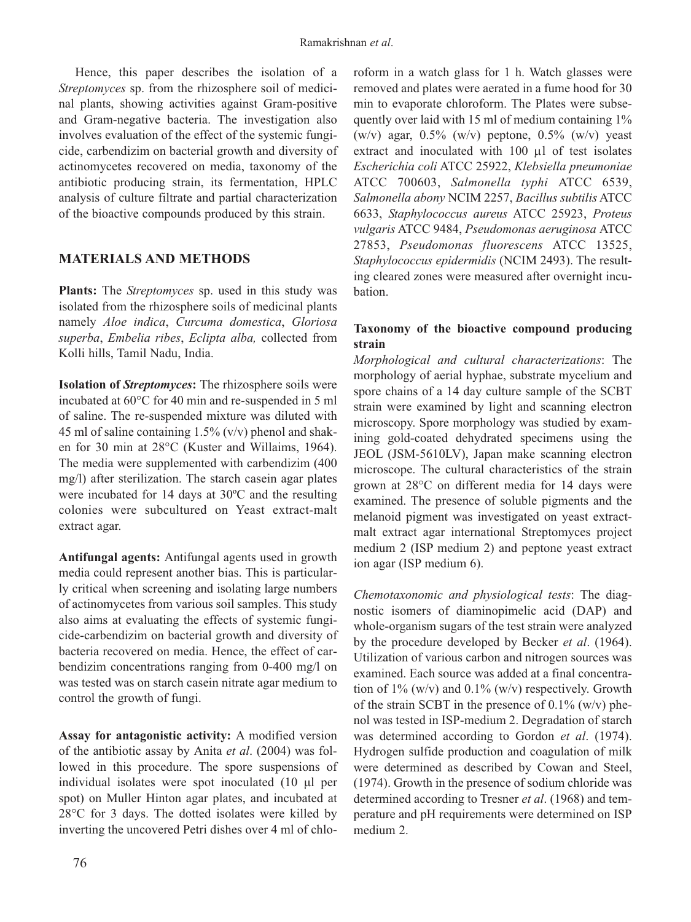Hence, this paper describes the isolation of a *Streptomyces* sp. from the rhizosphere soil of medicinal plants, showing activities against Gram-positive and Gram-negative bacteria. The investigation also involves evaluation of the effect of the systemic fungicide, carbendizim on bacterial growth and diversity of actinomycetes recovered on media, taxonomy of the antibiotic producing strain, its fermentation, HPLC analysis of culture filtrate and partial characterization of the bioactive compounds produced by this strain.

# **MATERIALS AND METHODS**

**Plants:** The *Streptomyces* sp. used in this study was isolated from the rhizosphere soils of medicinal plants namely *Aloe indica*, *Curcuma domestica*, *Gloriosa superba*, *Embelia ribes*, *Eclipta alba,* collected from Kolli hills, Tamil Nadu, India.

**Isolation of** *Streptomyces***:** The rhizosphere soils were incubated at 60°C for 40 min and re-suspended in 5 ml of saline. The re-suspended mixture was diluted with 45 ml of saline containing  $1.5\%$  (v/v) phenol and shaken for 30 min at 28°C (Kuster and Willaims, 1964). The media were supplemented with carbendizim (400 mg/l) after sterilization. The starch casein agar plates were incubated for 14 days at 30ºC and the resulting colonies were subcultured on Yeast extract-malt extract agar.

**Antifungal agents:** Antifungal agents used in growth media could represent another bias. This is particularly critical when screening and isolating large numbers of actinomycetes from various soil samples. This study also aims at evaluating the effects of systemic fungicide-carbendizim on bacterial growth and diversity of bacteria recovered on media. Hence, the effect of carbendizim concentrations ranging from 0-400 mg/l on was tested was on starch casein nitrate agar medium to control the growth of fungi.

**Assay for antagonistic activity:** A modified version of the antibiotic assay by Anita *et al*. (2004) was followed in this procedure. The spore suspensions of individual isolates were spot inoculated (10 µl per spot) on Muller Hinton agar plates, and incubated at 28°C for 3 days. The dotted isolates were killed by inverting the uncovered Petri dishes over 4 ml of chloroform in a watch glass for 1 h. Watch glasses were removed and plates were aerated in a fume hood for 30 min to evaporate chloroform. The Plates were subsequently over laid with 15 ml of medium containing  $1\%$ (w/v) agar,  $0.5\%$  (w/v) peptone,  $0.5\%$  (w/v) yeast extract and inoculated with 100 µl of test isolates *Escherichia coli* ATCC 25922, *Klebsiella pneumoniae* ATCC 700603, *Salmonella typhi* ATCC 6539, *Salmonella abony* NCIM 2257, *Bacillus subtilis* ATCC 6633, *Staphylococcus aureus* ATCC 25923, *Proteus vulgaris* ATCC 9484, *Pseudomonas aeruginosa* ATCC 27853, *Pseudomonas fluorescens* ATCC 13525, *Staphylococcus epidermidis* (NCIM 2493). The resulting cleared zones were measured after overnight incubation.

## **Taxonomy of the bioactive compound producing strain**

*Morphological and cultural characterizations*: The morphology of aerial hyphae, substrate mycelium and spore chains of a 14 day culture sample of the SCBT strain were examined by light and scanning electron microscopy. Spore morphology was studied by examining gold-coated dehydrated specimens using the JEOL (JSM-5610LV), Japan make scanning electron microscope. The cultural characteristics of the strain grown at 28°C on different media for 14 days were examined. The presence of soluble pigments and the melanoid pigment was investigated on yeast extractmalt extract agar international Streptomyces project medium 2 (ISP medium 2) and peptone yeast extract ion agar (ISP medium 6).

*Chemotaxonomic and physiological tests*: The diagnostic isomers of diaminopimelic acid (DAP) and whole-organism sugars of the test strain were analyzed by the procedure developed by Becker *et al*. (1964). Utilization of various carbon and nitrogen sources was examined. Each source was added at a final concentration of  $1\%$  (w/v) and  $0.1\%$  (w/v) respectively. Growth of the strain SCBT in the presence of  $0.1\%$  (w/v) phenol was tested in ISP-medium 2. Degradation of starch was determined according to Gordon *et al*. (1974). Hydrogen sulfide production and coagulation of milk were determined as described by Cowan and Steel, (1974). Growth in the presence of sodium chloride was determined according to Tresner *et al*. (1968) and temperature and pH requirements were determined on ISP medium 2.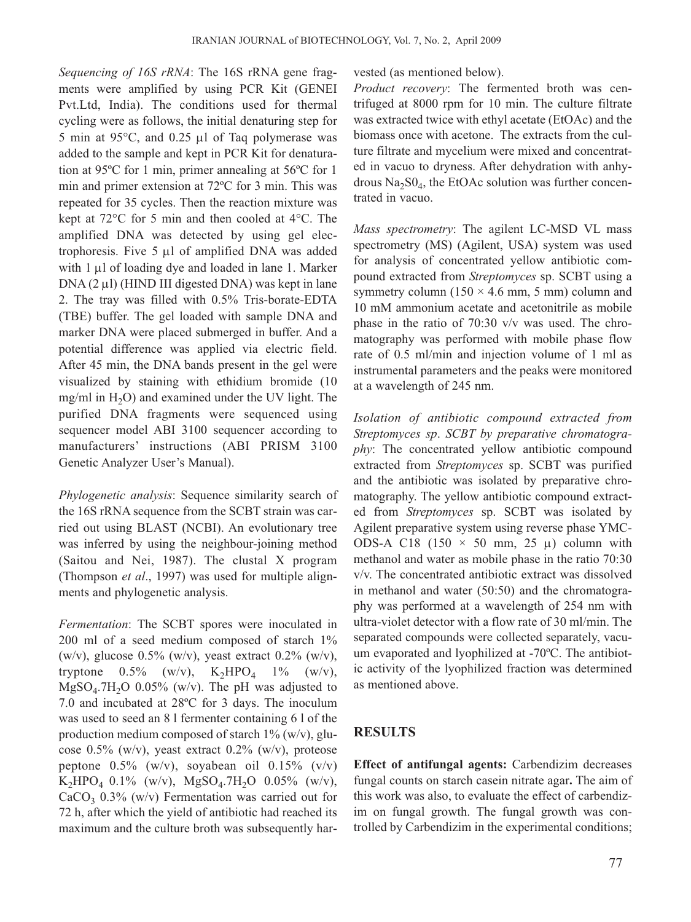*Sequencing of 16S rRNA*: The 16S rRNA gene fragments were amplified by using PCR Kit (GENEI Pvt.Ltd, India). The conditions used for thermal cycling were as follows, the initial denaturing step for 5 min at 95°C, and 0.25 µl of Taq polymerase was added to the sample and kept in PCR Kit for denaturation at 95ºC for 1 min, primer annealing at 56ºC for 1 min and primer extension at 72ºC for 3 min. This was repeated for 35 cycles. Then the reaction mixture was kept at 72°C for 5 min and then cooled at 4°C. The amplified DNA was detected by using gel electrophoresis. Five 5 µl of amplified DNA was added with 1  $\mu$ l of loading dye and loaded in lane 1. Marker DNA  $(2 \mu I)$  (HIND III digested DNA) was kept in lane 2. The tray was filled with 0.5% Tris-borate-EDTA (TBE) buffer. The gel loaded with sample DNA and marker DNA were placed submerged in buffer. And a potential difference was applied via electric field. After 45 min, the DNA bands present in the gel were visualized by staining with ethidium bromide (10 mg/ml in  $H<sub>2</sub>O$ ) and examined under the UV light. The purified DNA fragments were sequenced using sequencer model ABI 3100 sequencer according to manufacturers' instructions (ABI PRISM 3100 Genetic Analyzer User's Manual).

*Phylogenetic analysis*: Sequence similarity search of the 16S rRNA sequence from the SCBT strain was carried out using BLAST (NCBI). An evolutionary tree was inferred by using the neighbour-joining method (Saitou and Nei, 1987). The clustal X program (Thompson *et al*., 1997) was used for multiple alignments and phylogenetic analysis.

*Fermentation*: The SCBT spores were inoculated in 200 ml of a seed medium composed of starch 1% (w/v), glucose  $0.5\%$  (w/v), yeast extract  $0.2\%$  (w/v), tryptone  $0.5\%$  (w/v),  $K_2HPO_4$  1% (w/v),  $MgSO<sub>4</sub>$ .7H<sub>2</sub>O 0.05% (w/v). The pH was adjusted to 7.0 and incubated at 28ºC for 3 days. The inoculum was used to seed an 8 l fermenter containing 6 l of the production medium composed of starch  $1\%$  (w/v), glucose 0.5% (w/v), yeast extract 0.2% (w/v), proteose peptone  $0.5\%$  (w/v), soyabean oil  $0.15\%$  (v/v)  $K_2HPO_4$  0.1% (w/v), MgSO<sub>4</sub>.7H<sub>2</sub>O 0.05% (w/v),  $CaCO<sub>3</sub>$  0.3% (w/v) Fermentation was carried out for 72 h, after which the yield of antibiotic had reached its maximum and the culture broth was subsequently har-

## vested (as mentioned below).

*Product recovery*: The fermented broth was centrifuged at 8000 rpm for 10 min. The culture filtrate was extracted twice with ethyl acetate (EtOAc) and the biomass once with acetone. The extracts from the culture filtrate and mycelium were mixed and concentrated in vacuo to dryness. After dehydration with anhydrous  $Na<sub>2</sub>SO<sub>4</sub>$ , the EtOAc solution was further concentrated in vacuo.

*Mass spectrometry*: The agilent LC-MSD VL mass spectrometry (MS) (Agilent, USA) system was used for analysis of concentrated yellow antibiotic compound extracted from *Streptomyces* sp. SCBT using a symmetry column ( $150 \times 4.6$  mm, 5 mm) column and 10 mM ammonium acetate and acetonitrile as mobile phase in the ratio of 70:30 v/v was used. The chromatography was performed with mobile phase flow rate of 0.5 ml/min and injection volume of 1 ml as instrumental parameters and the peaks were monitored at a wavelength of 245 nm.

*Isolation of antibiotic compound extracted from Streptomyces sp*. *SCBT by preparative chromatography*: The concentrated yellow antibiotic compound extracted from *Streptomyces* sp. SCBT was purified and the antibiotic was isolated by preparative chromatography. The yellow antibiotic compound extracted from *Streptomyces* sp. SCBT was isolated by Agilent preparative system using reverse phase YMC-ODS-A C18 (150  $\times$  50 mm, 25  $\mu$ ) column with methanol and water as mobile phase in the ratio 70:30 v/v. The concentrated antibiotic extract was dissolved in methanol and water (50:50) and the chromatography was performed at a wavelength of 254 nm with ultra-violet detector with a flow rate of 30 ml/min. The separated compounds were collected separately, vacuum evaporated and lyophilized at -70ºC. The antibiotic activity of the lyophilized fraction was determined as mentioned above.

# **RESULTS**

**Effect of antifungal agents:** Carbendizim decreases fungal counts on starch casein nitrate agar**.** The aim of this work was also, to evaluate the effect of carbendizim on fungal growth. The fungal growth was controlled by Carbendizim in the experimental conditions;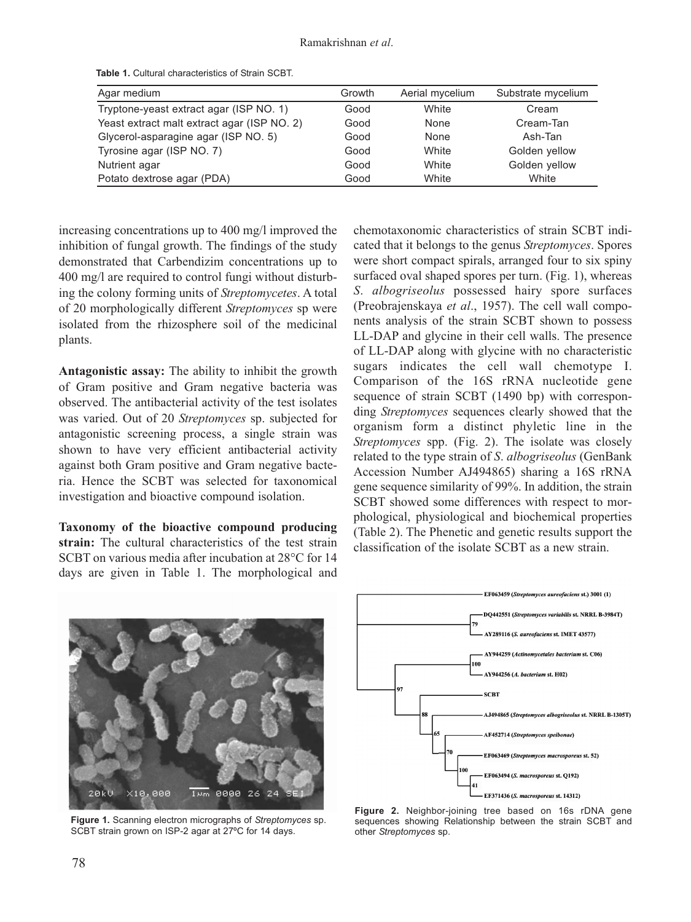| Agar medium                                 | Growth | Aerial mycelium | Substrate mycelium |
|---------------------------------------------|--------|-----------------|--------------------|
| Tryptone-yeast extract agar (ISP NO. 1)     | Good   | White           | Cream              |
| Yeast extract malt extract agar (ISP NO. 2) | Good   | None            | Cream-Tan          |
| Glycerol-asparagine agar (ISP NO. 5)        | Good   | None            | Ash-Tan            |
| Tyrosine agar (ISP NO. 7)                   | Good   | White           | Golden yellow      |
| Nutrient agar                               | Good   | White           | Golden yellow      |
| Potato dextrose agar (PDA)                  | Good   | White           | White              |

**Table 1.** Cultural characteristics of Strain SCBT.

increasing concentrations up to 400 mg/l improved the inhibition of fungal growth. The findings of the study demonstrated that Carbendizim concentrations up to 400 mg/l are required to control fungi without disturbing the colony forming units of *Streptomycetes*. A total of 20 morphologically different *Streptomyces* sp were isolated from the rhizosphere soil of the medicinal plants.

**Antagonistic assay:** The ability to inhibit the growth of Gram positive and Gram negative bacteria was observed. The antibacterial activity of the test isolates was varied. Out of 20 *Streptomyces* sp. subjected for antagonistic screening process, a single strain was shown to have very efficient antibacterial activity against both Gram positive and Gram negative bacteria. Hence the SCBT was selected for taxonomical investigation and bioactive compound isolation.

**Taxonomy of the bioactive compound producing strain:** The cultural characteristics of the test strain SCBT on various media after incubation at 28°C for 14 days are given in Table 1. The morphological and

chemotaxonomic characteristics of strain SCBT indicated that it belongs to the genus *Streptomyces*. Spores were short compact spirals, arranged four to six spiny surfaced oval shaped spores per turn. (Fig. 1), whereas *S*. *albogriseolus* possessed hairy spore surfaces (Preobrajenskaya *et al*., 1957). The cell wall components analysis of the strain SCBT shown to possess LL-DAP and glycine in their cell walls. The presence of LL-DAP along with glycine with no characteristic sugars indicates the cell wall chemotype I. Comparison of the 16S rRNA nucleotide gene sequence of strain SCBT (1490 bp) with corresponding *Streptomyces* sequences clearly showed that the organism form a distinct phyletic line in the *Streptomyces* spp. (Fig. 2). The isolate was closely related to the type strain of *S*. *albogriseolus* (GenBank Accession Number AJ494865) sharing a 16S rRNA gene sequence similarity of 99%. In addition, the strain SCBT showed some differences with respect to morphological, physiological and biochemical properties (Table 2). The Phenetic and genetic results support the classification of the isolate SCBT as a new strain.



**Figure 1.** Scanning electron micrographs of *Streptomyces* sp. SCBT strain grown on ISP-2 agar at 27ºC for 14 days.



**Figure 2.** Neighbor-joining tree based on 16s rDNA gene sequences showing Relationship between the strain SCBT and other *Streptomyces* sp.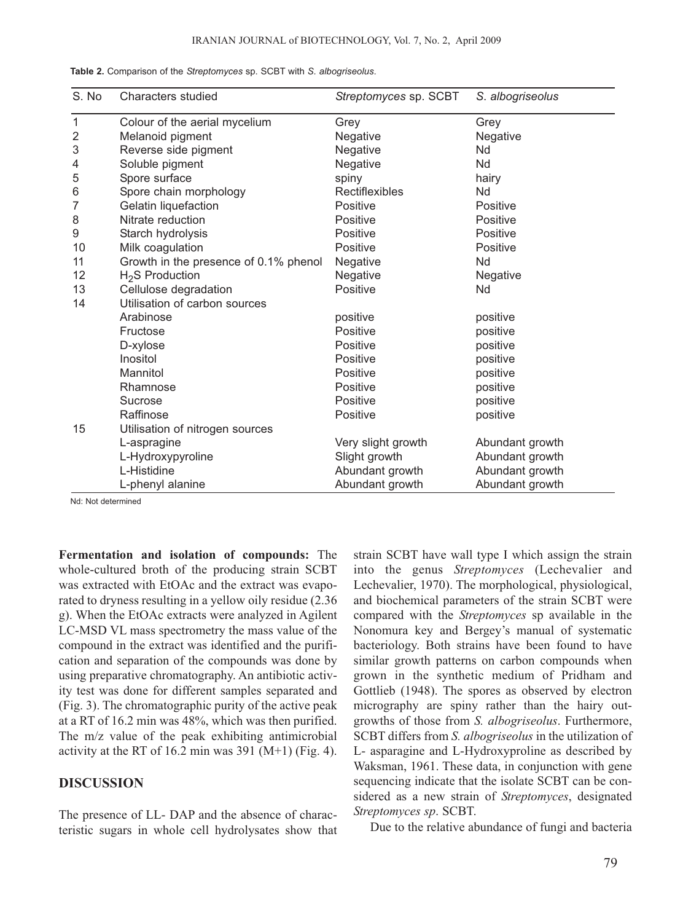| S. No        | <b>Characters studied</b>             | Streptomyces sp. SCBT | S. albogriseolus |
|--------------|---------------------------------------|-----------------------|------------------|
| 1            | Colour of the aerial mycelium         | Grey                  | Grey             |
| $\mathbf{2}$ | Melanoid pigment                      | Negative              | Negative         |
| 3            | Reverse side pigment                  | Negative              | Nd               |
| 4            | Soluble pigment                       | Negative              | Nd               |
| 5            | Spore surface                         | spiny                 | hairy            |
| 6            | Spore chain morphology                | Rectiflexibles        | Nd               |
| 7            | Gelatin liquefaction                  | Positive              | Positive         |
| 8            | Nitrate reduction                     | Positive              | Positive         |
| 9            | Starch hydrolysis                     | Positive              | Positive         |
| 10           | Milk coagulation                      | Positive              | Positive         |
| 11           | Growth in the presence of 0.1% phenol | Negative              | Nd               |
| 12           | $H2S$ Production                      | Negative              | Negative         |
| 13           | Cellulose degradation                 | Positive              | Nd               |
| 14           | Utilisation of carbon sources         |                       |                  |
|              | Arabinose                             | positive              | positive         |
|              | Fructose                              | Positive              | positive         |
|              | D-xylose                              | Positive              | positive         |
|              | Inositol                              | Positive              | positive         |
|              | Mannitol                              | Positive              | positive         |
|              | Rhamnose                              | Positive              | positive         |
|              | Sucrose                               | Positive              | positive         |
|              | Raffinose                             | Positive              | positive         |
| 15           | Utilisation of nitrogen sources       |                       |                  |
|              | L-aspragine                           | Very slight growth    | Abundant growth  |
|              | L-Hydroxypyroline                     | Slight growth         | Abundant growth  |
|              | L-Histidine                           | Abundant growth       | Abundant growth  |
|              | L-phenyl alanine                      | Abundant growth       | Abundant growth  |

**Table 2.** Comparison of the *Streptomyces* sp. SCBT with *S. albogriseolus*.

Nd: Not determined

**Fermentation and isolation of compounds:** The whole-cultured broth of the producing strain SCBT was extracted with EtOAc and the extract was evaporated to dryness resulting in a yellow oily residue (2.36 g). When the EtOAc extracts were analyzed in Agilent LC-MSD VL mass spectrometry the mass value of the compound in the extract was identified and the purification and separation of the compounds was done by using preparative chromatography. An antibiotic activity test was done for different samples separated and (Fig. 3). The chromatographic purity of the active peak at a RT of 16.2 min was 48%, which was then purified. The m/z value of the peak exhibiting antimicrobial activity at the RT of 16.2 min was  $391$  (M+1) (Fig. 4).

## **DISCUSSION**

The presence of LL- DAP and the absence of characteristic sugars in whole cell hydrolysates show that

strain SCBT have wall type I which assign the strain into the genus *Streptomyces* (Lechevalier and Lechevalier, 1970). The morphological, physiological, and biochemical parameters of the strain SCBT were compared with the *Streptomyces* sp available in the Nonomura key and Bergey's manual of systematic bacteriology. Both strains have been found to have similar growth patterns on carbon compounds when grown in the synthetic medium of Pridham and Gottlieb (1948). The spores as observed by electron micrography are spiny rather than the hairy outgrowths of those from *S. albogriseolus*. Furthermore, SCBT differs from *S. albogriseolus* in the utilization of L- asparagine and L-Hydroxyproline as described by Waksman, 1961. These data, in conjunction with gene sequencing indicate that the isolate SCBT can be considered as a new strain of *Streptomyces*, designated *Streptomyces sp*. SCBT.

Due to the relative abundance of fungi and bacteria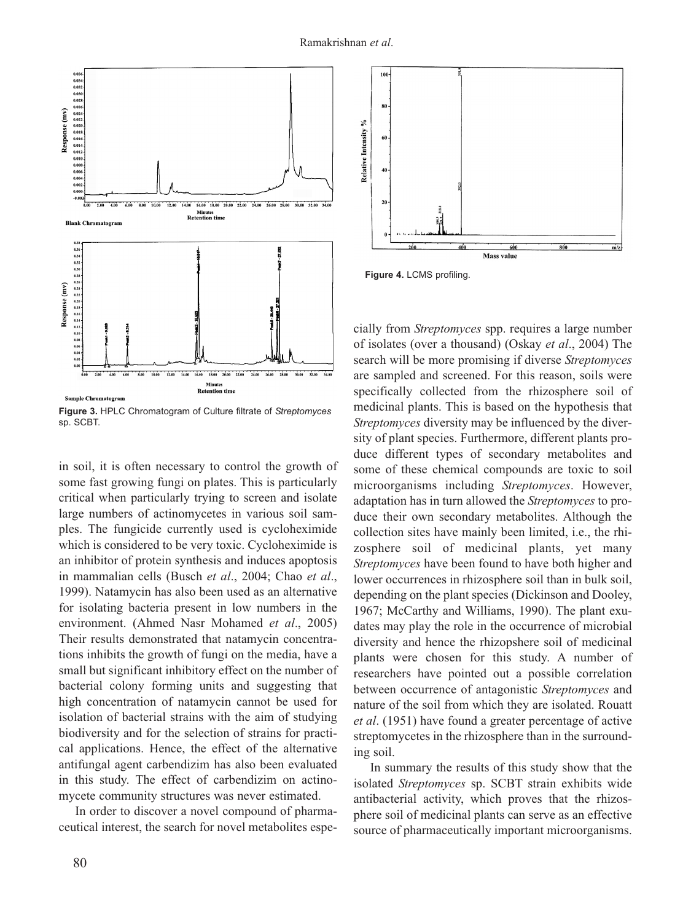

**Figure 3.** HPLC Chromatogram of Culture filtrate of *Streptomyces* sp. SCBT.

in soil, it is often necessary to control the growth of some fast growing fungi on plates. This is particularly critical when particularly trying to screen and isolate large numbers of actinomycetes in various soil samples. The fungicide currently used is cycloheximide which is considered to be very toxic. Cycloheximide is an inhibitor of protein synthesis and induces apoptosis in mammalian cells (Busch *et al*., 2004; Chao *et al*., 1999). Natamycin has also been used as an alternative for isolating bacteria present in low numbers in the environment. (Ahmed Nasr Mohamed *et al*., 2005) Their results demonstrated that natamycin concentrations inhibits the growth of fungi on the media, have a small but significant inhibitory effect on the number of bacterial colony forming units and suggesting that high concentration of natamycin cannot be used for isolation of bacterial strains with the aim of studying biodiversity and for the selection of strains for practical applications. Hence, the effect of the alternative antifungal agent carbendizim has also been evaluated in this study. The effect of carbendizim on actinomycete community structures was never estimated.

In order to discover a novel compound of pharmaceutical interest, the search for novel metabolites espe-



**Figure 4.** LCMS profiling.

cially from *Streptomyces* spp. requires a large number of isolates (over a thousand) (Oskay *et al*., 2004) The search will be more promising if diverse *Streptomyces* are sampled and screened. For this reason, soils were specifically collected from the rhizosphere soil of medicinal plants. This is based on the hypothesis that *Streptomyces* diversity may be influenced by the diversity of plant species. Furthermore, different plants produce different types of secondary metabolites and some of these chemical compounds are toxic to soil microorganisms including *Streptomyces*. However, adaptation has in turn allowed the *Streptomyces* to produce their own secondary metabolites. Although the collection sites have mainly been limited, i.e., the rhizosphere soil of medicinal plants, yet many *Streptomyces* have been found to have both higher and lower occurrences in rhizosphere soil than in bulk soil, depending on the plant species (Dickinson and Dooley, 1967; McCarthy and Williams, 1990). The plant exudates may play the role in the occurrence of microbial diversity and hence the rhizopshere soil of medicinal plants were chosen for this study. A number of researchers have pointed out a possible correlation between occurrence of antagonistic *Streptomyces* and nature of the soil from which they are isolated. Rouatt *et al*. (1951) have found a greater percentage of active streptomycetes in the rhizosphere than in the surrounding soil.

In summary the results of this study show that the isolated *Streptomyces* sp. SCBT strain exhibits wide antibacterial activity, which proves that the rhizosphere soil of medicinal plants can serve as an effective source of pharmaceutically important microorganisms.